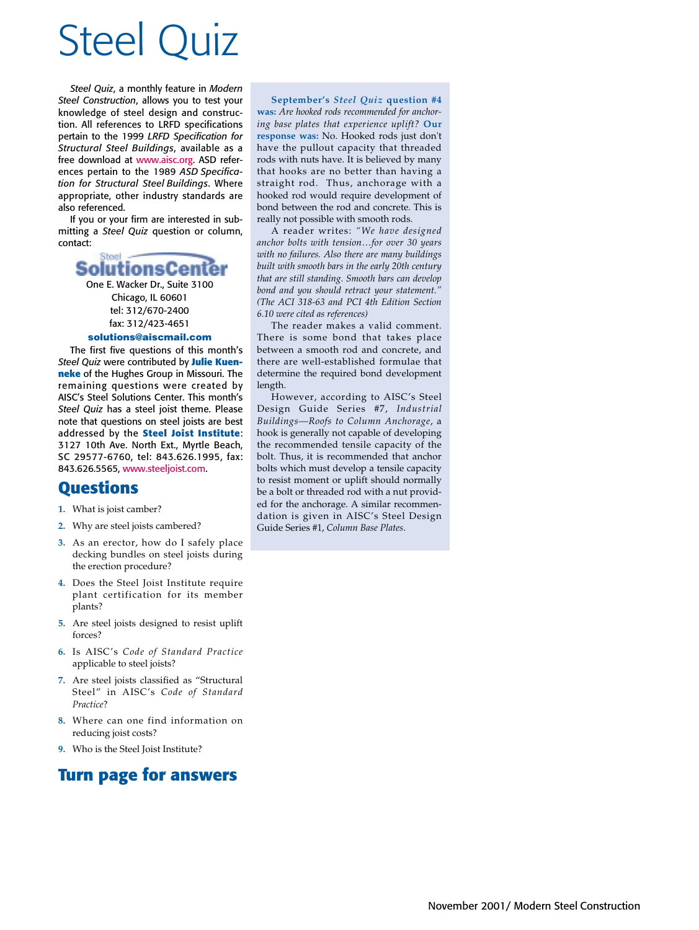## Steel Quiz

*Steel Quiz*, a monthly feature in *Modern Steel Construction*, allows you to test your knowledge of steel design and construction. All references to LRFD specifications pertain to the 1999 *LRFD Specification for Structural Steel Buildings*, available as a free download at www.aisc.org. ASD references pertain to the 1989 *ASD Specification for Structural Steel Buildings*. Where appropriate, other industry standards are also referenced.

If you or your firm are interested in submitting a *Steel Quiz* question or column, contact:

### SolutionsCen

One E. Wacker Dr., Suite 3100 Chicago, IL 60601 tel: 312/670-2400 fax: 312/423-4651

#### **solutions@aiscmail.com**

The first five questions of this month's *Steel Quiz* were contributed by **Julie Kuenneke** of the Hughes Group in Missouri. The remaining questions were created by AISC's Steel Solutions Center. This month's *Steel Quiz* has a steel joist theme. Please note that questions on steel joists are best addressed by the **Steel Joist Institute**: 3127 10th Ave. North Ext., Myrtle Beach, SC 29577-6760, tel: 843.626.1995, fax: 843.626.5565, www.steeljoist.com.

#### **Questions**

- **1.** What is joist camber?
- **2.** Why are steel joists cambered?
- **3.** As an erector, how do I safely place decking bundles on steel joists during the erection procedure?
- **4.** Does the Steel Joist Institute require plant certification for its member plants?
- **5.** Are steel joists designed to resist uplift forces?
- **6.** Is AISC's *Code of Standard Practice* applicable to steel joists?
- **7.** Are steel joists classified as "Structural Steel" in AISC's *Code of Standard Practice*?
- **8.** Where can one find information on reducing joist costs?
- **9.** Who is the Steel Joist Institute?

#### **Turn page for answers**

**September's** *Steel Quiz* **question #4 was:** *Are hooked rods recommended for anchoring base plates that experience uplift?* **Our response was:** No. Hooked rods just don't have the pullout capacity that threaded rods with nuts have. It is believed by many that hooks are no better than having a straight rod. Thus, anchorage with a hooked rod would require development of bond between the rod and concrete. This is really not possible with smooth rods.

A reader writes: *"We have designed anchor bolts with tension…for over 30 years with no failures. Also there are many buildings built with smooth bars in the early 20th century that are still standing. Smooth bars can develop bond and you should retract your statement." (The ACI 318-63 and PCI 4th Edition Section 6.10 were cited as references)*

The reader makes a valid comment. There is some bond that takes place between a smooth rod and concrete, and there are well-established formulae that determine the required bond development length.

However, according to AISC's Steel Design Guide Series #7, *Industrial Buildings—Roofs to Column Anchorage*, a hook is generally not capable of developing the recommended tensile capacity of the bolt. Thus, it is recommended that anchor bolts which must develop a tensile capacity to resist moment or uplift should normally be a bolt or threaded rod with a nut provided for the anchorage. A similar recommendation is given in AISC's Steel Design Guide Series #1, *Column Base Plates*.